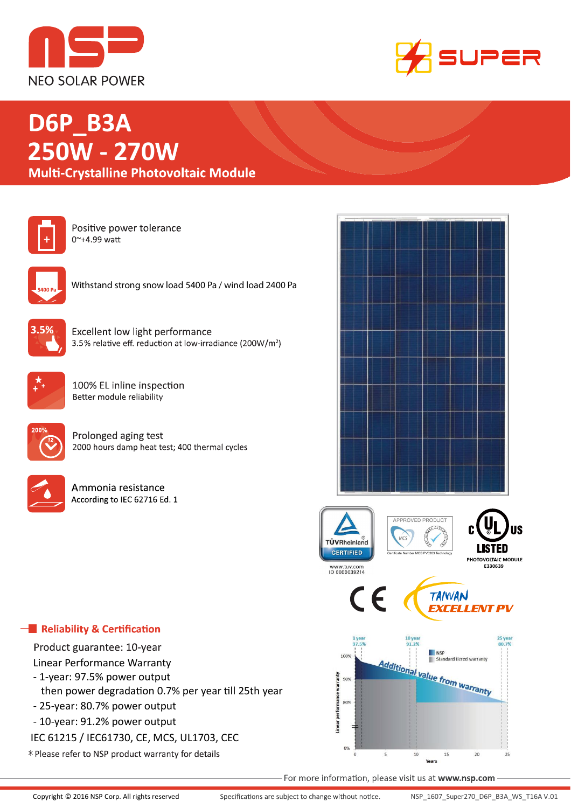



# D6P\_B3A **250 270**



Positive power tolerance 0~+4.99 watt



Withstand strong snow load 5400 Pa / wind load 2400 Pa



**Excellent low light performance** 3.5% relative eff. reduction at low-irradiance (200W/m<sup>2</sup>)



100% EL inline inspection Better module reliability



Prolonged aging test 2000 hours damp heat test; 400 thermal cycles



Ammonia resistance According to IEC 62716 Ed. 1



# $\blacksquare$  Reliability & Certification

Product guarantee: 10-year

- Linear Performance Warranty
- 1-year: 97.5% power output
- then power degradation 0.7% per year till 25th year
- 25-year: 80.7% power output
- 10-year: 91.2% power output
- IEC 61215 / IEC61730, CE, MCS, UL1703, CEC
- \* Please refer to NSP product warranty for details

For more information, please visit us at www.nsp.com